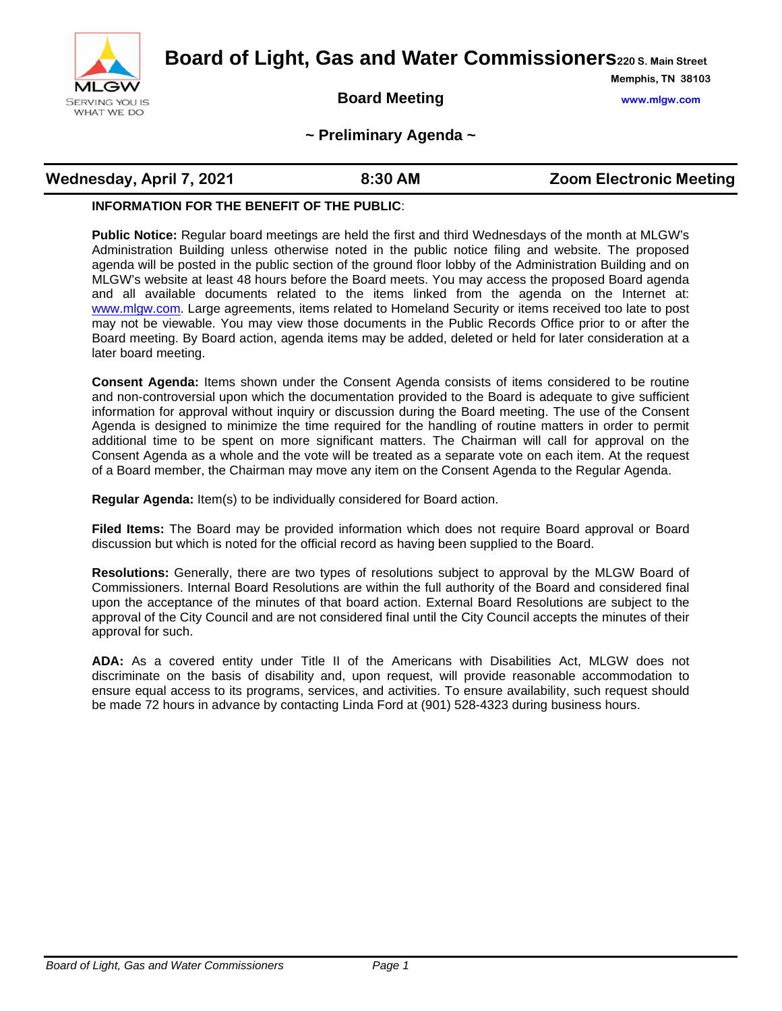

**Board of Light, Gas and Water Commissioners220 S. Main Street**

## **Board Meeting www.mlgw.com**

**Memphis, TN 38103**

#### **~ Preliminary Agenda ~**

#### **INFORMATION FOR THE BENEFIT OF THE PUBLIC**:

**Public Notice:** Regular board meetings are held the first and third Wednesdays of the month at MLGW's Administration Building unless otherwise noted in the public notice filing and website. The proposed agenda will be posted in the public section of the ground floor lobby of the Administration Building and on MLGW's website at least 48 hours before the Board meets. You may access the proposed Board agenda and all available documents related to the items linked from the agenda on the Internet at: [www.mlgw.com.](http://www.mlgw.com/) Large agreements, items related to Homeland Security or items received too late to post may not be viewable. You may view those documents in the Public Records Office prior to or after the Board meeting. By Board action, agenda items may be added, deleted or held for later consideration at a later board meeting.

**Consent Agenda:** Items shown under the Consent Agenda consists of items considered to be routine and non-controversial upon which the documentation provided to the Board is adequate to give sufficient information for approval without inquiry or discussion during the Board meeting. The use of the Consent Agenda is designed to minimize the time required for the handling of routine matters in order to permit additional time to be spent on more significant matters. The Chairman will call for approval on the Consent Agenda as a whole and the vote will be treated as a separate vote on each item. At the request of a Board member, the Chairman may move any item on the Consent Agenda to the Regular Agenda.

**Regular Agenda:** Item(s) to be individually considered for Board action.

**Filed Items:** The Board may be provided information which does not require Board approval or Board discussion but which is noted for the official record as having been supplied to the Board.

**Resolutions:** Generally, there are two types of resolutions subject to approval by the MLGW Board of Commissioners. Internal Board Resolutions are within the full authority of the Board and considered final upon the acceptance of the minutes of that board action. External Board Resolutions are subject to the approval of the City Council and are not considered final until the City Council accepts the minutes of their approval for such.

**ADA:** As a covered entity under Title II of the Americans with Disabilities Act, MLGW does not discriminate on the basis of disability and, upon request, will provide reasonable accommodation to ensure equal access to its programs, services, and activities. To ensure availability, such request should be made 72 hours in advance by contacting Linda Ford at (901) 528-4323 during business hours.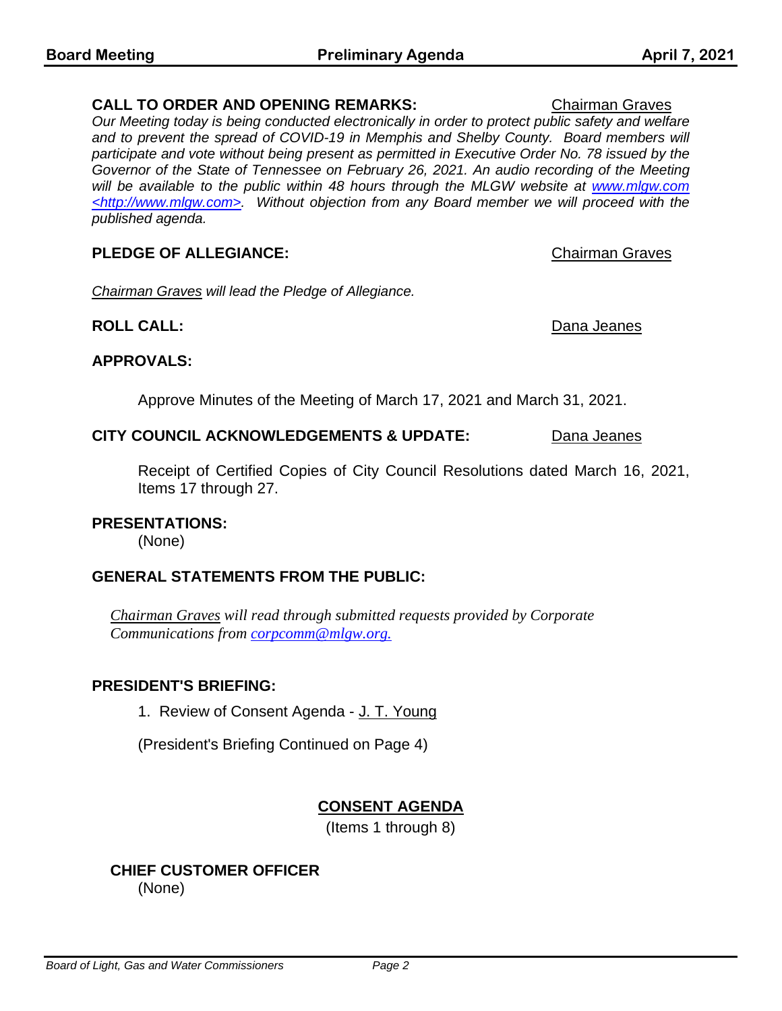#### **CALL TO ORDER AND OPENING REMARKS:** Chairman Graves

*Our Meeting today is being conducted electronically in order to protect public safety and welfare*  and to prevent the spread of COVID-19 in Memphis and Shelby County. Board members will *participate and vote without being present as permitted in Executive Order No. 78 issued by the Governor of the State of Tennessee on February 26, 2021. An audio recording of the Meeting will be available to the public within 48 hours through the MLGW website at www.mlgw.com <http://www.mlgw.com>. Without objection from any Board member we will proceed with the published agenda.*

# **PLEDGE OF ALLEGIANCE:** Chairman Graves

*Chairman Graves will lead the Pledge of Allegiance.*

# **ROLL CALL:** Dana Jeanes

# **APPROVALS:**

Approve Minutes of the Meeting of March 17, 2021 and March 31, 2021.

# **CITY COUNCIL ACKNOWLEDGEMENTS & UPDATE:** Dana Jeanes

Receipt of Certified Copies of City Council Resolutions dated March 16, 2021, Items 17 through 27.

# **PRESENTATIONS:**

(None)

# **GENERAL STATEMENTS FROM THE PUBLIC:**

*Chairman Graves will read through submitted requests provided by Corporate Communications from [corpcomm@mlgw.org.](mailto:corpcomm@mlgw.org)*

### **PRESIDENT'S BRIEFING:**

1. Review of Consent Agenda - J. T. Young

(President's Briefing Continued on Page 4)

# **CONSENT AGENDA**

(Items 1 through 8)

#### **CHIEF CUSTOMER OFFICER**  (None)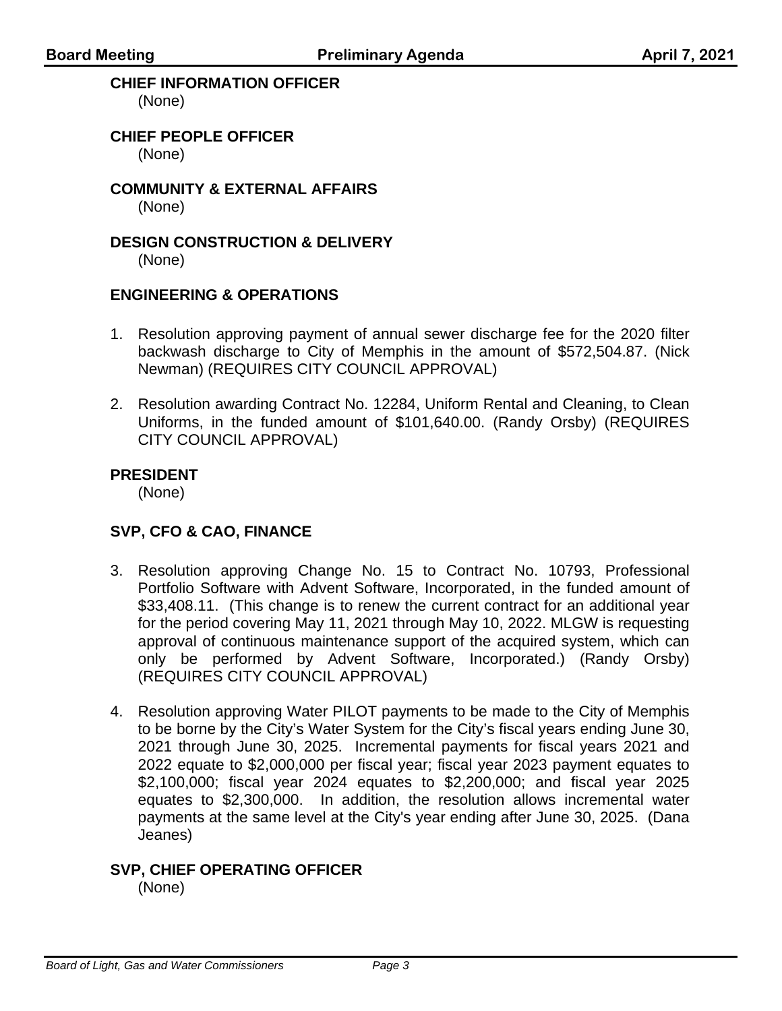## **CHIEF INFORMATION OFFICER**

(None)

**CHIEF PEOPLE OFFICER**  (None)

**COMMUNITY & EXTERNAL AFFAIRS**  (None)

# **DESIGN CONSTRUCTION & DELIVERY**

(None)

### **ENGINEERING & OPERATIONS**

- 1. Resolution approving payment of annual sewer discharge fee for the 2020 filter backwash discharge to City of Memphis in the amount of \$572,504.87. (Nick Newman) (REQUIRES CITY COUNCIL APPROVAL)
- 2. Resolution awarding Contract No. 12284, Uniform Rental and Cleaning, to Clean Uniforms, in the funded amount of \$101,640.00. (Randy Orsby) (REQUIRES CITY COUNCIL APPROVAL)

### **PRESIDENT**

(None)

# **SVP, CFO & CAO, FINANCE**

- 3. Resolution approving Change No. 15 to Contract No. 10793, Professional Portfolio Software with Advent Software, Incorporated, in the funded amount of \$33,408.11. (This change is to renew the current contract for an additional year for the period covering May 11, 2021 through May 10, 2022. MLGW is requesting approval of continuous maintenance support of the acquired system, which can only be performed by Advent Software, Incorporated.) (Randy Orsby) (REQUIRES CITY COUNCIL APPROVAL)
- 4. Resolution approving Water PILOT payments to be made to the City of Memphis to be borne by the City's Water System for the City's fiscal years ending June 30, 2021 through June 30, 2025. Incremental payments for fiscal years 2021 and 2022 equate to \$2,000,000 per fiscal year; fiscal year 2023 payment equates to \$2,100,000; fiscal year 2024 equates to \$2,200,000; and fiscal year 2025 equates to \$2,300,000. In addition, the resolution allows incremental water payments at the same level at the City's year ending after June 30, 2025. (Dana Jeanes)

#### **SVP, CHIEF OPERATING OFFICER**  (None)